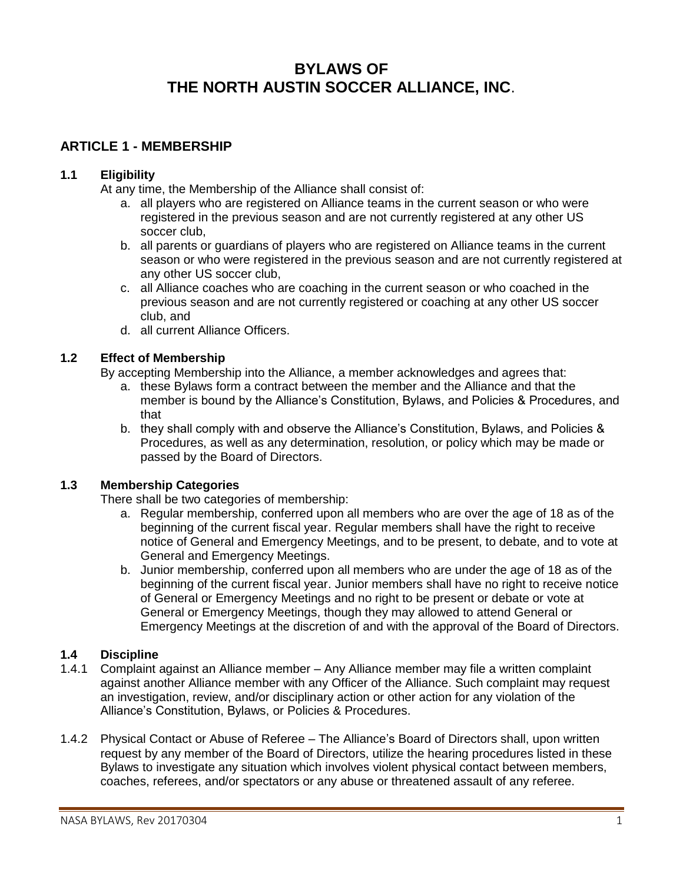# **BYLAWS OF THE NORTH AUSTIN SOCCER ALLIANCE, INC**.

### **ARTICLE 1 - MEMBERSHIP**

### **1.1 Eligibility**

At any time, the Membership of the Alliance shall consist of:

- a. all players who are registered on Alliance teams in the current season or who were registered in the previous season and are not currently registered at any other US soccer club,
- b. all parents or guardians of players who are registered on Alliance teams in the current season or who were registered in the previous season and are not currently registered at any other US soccer club,
- c. all Alliance coaches who are coaching in the current season or who coached in the previous season and are not currently registered or coaching at any other US soccer club, and
- d. all current Alliance Officers.

### **1.2 Effect of Membership**

By accepting Membership into the Alliance, a member acknowledges and agrees that:

- a. these Bylaws form a contract between the member and the Alliance and that the member is bound by the Alliance's Constitution, Bylaws, and Policies & Procedures, and that
- b. they shall comply with and observe the Alliance's Constitution, Bylaws, and Policies & Procedures, as well as any determination, resolution, or policy which may be made or passed by the Board of Directors.

### **1.3 Membership Categories**

There shall be two categories of membership:

- a. Regular membership, conferred upon all members who are over the age of 18 as of the beginning of the current fiscal year. Regular members shall have the right to receive notice of General and Emergency Meetings, and to be present, to debate, and to vote at General and Emergency Meetings.
- b. Junior membership, conferred upon all members who are under the age of 18 as of the beginning of the current fiscal year. Junior members shall have no right to receive notice of General or Emergency Meetings and no right to be present or debate or vote at General or Emergency Meetings, though they may allowed to attend General or Emergency Meetings at the discretion of and with the approval of the Board of Directors.

### **1.4 Discipline**

- 1.4.1 Complaint against an Alliance member Any Alliance member may file a written complaint against another Alliance member with any Officer of the Alliance. Such complaint may request an investigation, review, and/or disciplinary action or other action for any violation of the Alliance's Constitution, Bylaws, or Policies & Procedures.
- 1.4.2 Physical Contact or Abuse of Referee The Alliance's Board of Directors shall, upon written request by any member of the Board of Directors, utilize the hearing procedures listed in these Bylaws to investigate any situation which involves violent physical contact between members, coaches, referees, and/or spectators or any abuse or threatened assault of any referee.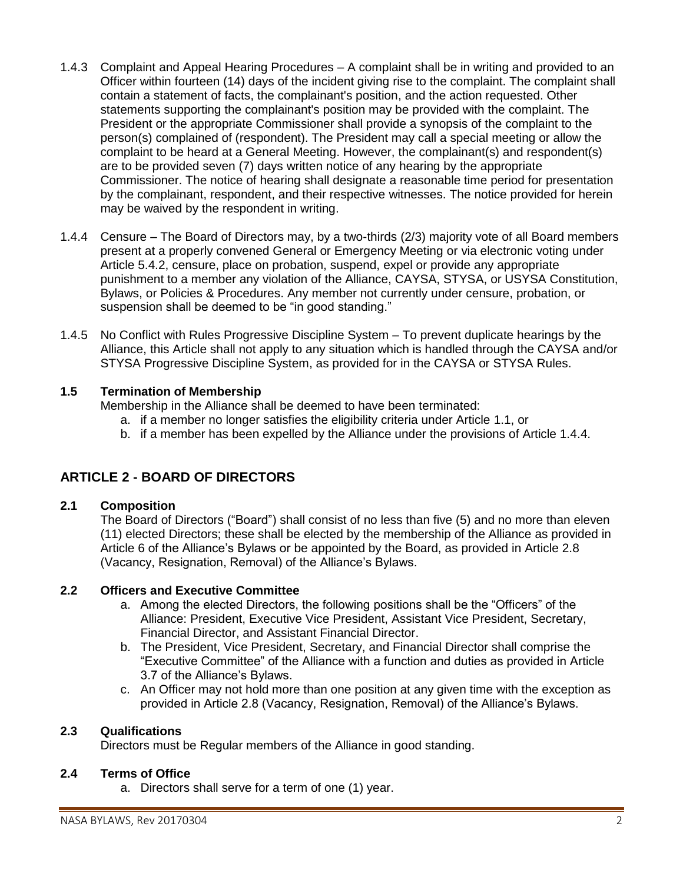- 1.4.3 Complaint and Appeal Hearing Procedures A complaint shall be in writing and provided to an Officer within fourteen (14) days of the incident giving rise to the complaint. The complaint shall contain a statement of facts, the complainant's position, and the action requested. Other statements supporting the complainant's position may be provided with the complaint. The President or the appropriate Commissioner shall provide a synopsis of the complaint to the person(s) complained of (respondent). The President may call a special meeting or allow the complaint to be heard at a General Meeting. However, the complainant(s) and respondent(s) are to be provided seven (7) days written notice of any hearing by the appropriate Commissioner. The notice of hearing shall designate a reasonable time period for presentation by the complainant, respondent, and their respective witnesses. The notice provided for herein may be waived by the respondent in writing.
- 1.4.4 Censure The Board of Directors may, by a two-thirds (2/3) majority vote of all Board members present at a properly convened General or Emergency Meeting or via electronic voting under Article 5.4.2, censure, place on probation, suspend, expel or provide any appropriate punishment to a member any violation of the Alliance, CAYSA, STYSA, or USYSA Constitution, Bylaws, or Policies & Procedures. Any member not currently under censure, probation, or suspension shall be deemed to be "in good standing."
- 1.4.5 No Conflict with Rules Progressive Discipline System To prevent duplicate hearings by the Alliance, this Article shall not apply to any situation which is handled through the CAYSA and/or STYSA Progressive Discipline System, as provided for in the CAYSA or STYSA Rules.

### **1.5 Termination of Membership**

Membership in the Alliance shall be deemed to have been terminated:

- a. if a member no longer satisfies the eligibility criteria under Article 1.1, or
- b. if a member has been expelled by the Alliance under the provisions of Article 1.4.4.

## **ARTICLE 2 - BOARD OF DIRECTORS**

#### **2.1 Composition**

The Board of Directors ("Board") shall consist of no less than five (5) and no more than eleven (11) elected Directors; these shall be elected by the membership of the Alliance as provided in Article 6 of the Alliance's Bylaws or be appointed by the Board, as provided in Article 2.8 (Vacancy, Resignation, Removal) of the Alliance's Bylaws.

#### **2.2 Officers and Executive Committee**

- a. Among the elected Directors, the following positions shall be the "Officers" of the Alliance: President, Executive Vice President, Assistant Vice President, Secretary, Financial Director, and Assistant Financial Director.
- b. The President, Vice President, Secretary, and Financial Director shall comprise the "Executive Committee" of the Alliance with a function and duties as provided in Article 3.7 of the Alliance's Bylaws.
- c. An Officer may not hold more than one position at any given time with the exception as provided in Article 2.8 (Vacancy, Resignation, Removal) of the Alliance's Bylaws.

### **2.3 Qualifications**

Directors must be Regular members of the Alliance in good standing.

### **2.4 Terms of Office**

a. Directors shall serve for a term of one (1) year.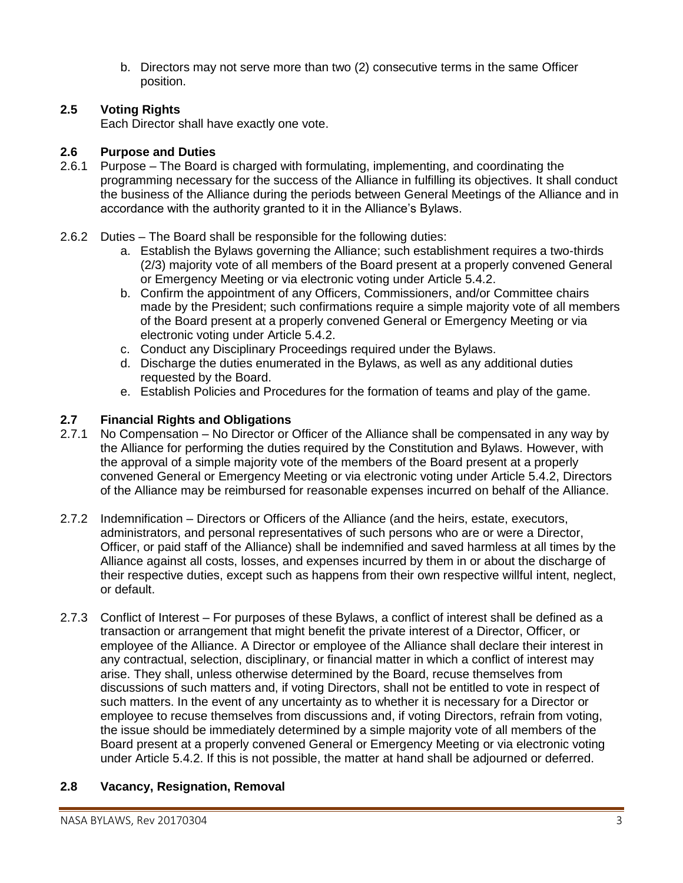b. Directors may not serve more than two (2) consecutive terms in the same Officer position.

### **2.5 Voting Rights**

Each Director shall have exactly one vote.

### **2.6 Purpose and Duties**

- 2.6.1 Purpose The Board is charged with formulating, implementing, and coordinating the programming necessary for the success of the Alliance in fulfilling its objectives. It shall conduct the business of the Alliance during the periods between General Meetings of the Alliance and in accordance with the authority granted to it in the Alliance's Bylaws.
- 2.6.2 Duties The Board shall be responsible for the following duties:
	- a. Establish the Bylaws governing the Alliance; such establishment requires a two-thirds (2/3) majority vote of all members of the Board present at a properly convened General or Emergency Meeting or via electronic voting under Article 5.4.2.
	- b. Confirm the appointment of any Officers, Commissioners, and/or Committee chairs made by the President; such confirmations require a simple majority vote of all members of the Board present at a properly convened General or Emergency Meeting or via electronic voting under Article 5.4.2.
	- c. Conduct any Disciplinary Proceedings required under the Bylaws.
	- d. Discharge the duties enumerated in the Bylaws, as well as any additional duties requested by the Board.
	- e. Establish Policies and Procedures for the formation of teams and play of the game.

## **2.7 Financial Rights and Obligations**

- 2.7.1 No Compensation No Director or Officer of the Alliance shall be compensated in any way by the Alliance for performing the duties required by the Constitution and Bylaws. However, with the approval of a simple majority vote of the members of the Board present at a properly convened General or Emergency Meeting or via electronic voting under Article 5.4.2, Directors of the Alliance may be reimbursed for reasonable expenses incurred on behalf of the Alliance.
- 2.7.2 Indemnification Directors or Officers of the Alliance (and the heirs, estate, executors, administrators, and personal representatives of such persons who are or were a Director, Officer, or paid staff of the Alliance) shall be indemnified and saved harmless at all times by the Alliance against all costs, losses, and expenses incurred by them in or about the discharge of their respective duties, except such as happens from their own respective willful intent, neglect, or default.
- 2.7.3 Conflict of Interest For purposes of these Bylaws, a conflict of interest shall be defined as a transaction or arrangement that might benefit the private interest of a Director, Officer, or employee of the Alliance. A Director or employee of the Alliance shall declare their interest in any contractual, selection, disciplinary, or financial matter in which a conflict of interest may arise. They shall, unless otherwise determined by the Board, recuse themselves from discussions of such matters and, if voting Directors, shall not be entitled to vote in respect of such matters. In the event of any uncertainty as to whether it is necessary for a Director or employee to recuse themselves from discussions and, if voting Directors, refrain from voting, the issue should be immediately determined by a simple majority vote of all members of the Board present at a properly convened General or Emergency Meeting or via electronic voting under Article 5.4.2. If this is not possible, the matter at hand shall be adjourned or deferred.

## **2.8 Vacancy, Resignation, Removal**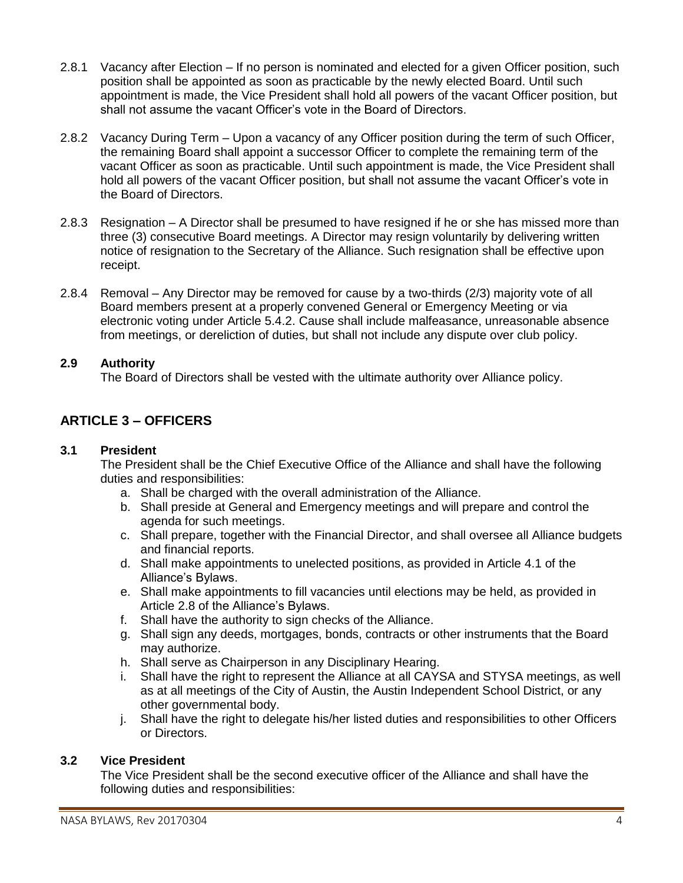- 2.8.1 Vacancy after Election If no person is nominated and elected for a given Officer position, such position shall be appointed as soon as practicable by the newly elected Board. Until such appointment is made, the Vice President shall hold all powers of the vacant Officer position, but shall not assume the vacant Officer's vote in the Board of Directors.
- 2.8.2 Vacancy During Term Upon a vacancy of any Officer position during the term of such Officer, the remaining Board shall appoint a successor Officer to complete the remaining term of the vacant Officer as soon as practicable. Until such appointment is made, the Vice President shall hold all powers of the vacant Officer position, but shall not assume the vacant Officer's vote in the Board of Directors.
- 2.8.3 Resignation A Director shall be presumed to have resigned if he or she has missed more than three (3) consecutive Board meetings. A Director may resign voluntarily by delivering written notice of resignation to the Secretary of the Alliance. Such resignation shall be effective upon receipt.
- 2.8.4 Removal Any Director may be removed for cause by a two-thirds (2/3) majority vote of all Board members present at a properly convened General or Emergency Meeting or via electronic voting under Article 5.4.2. Cause shall include malfeasance, unreasonable absence from meetings, or dereliction of duties, but shall not include any dispute over club policy.

### **2.9 Authority**

The Board of Directors shall be vested with the ultimate authority over Alliance policy.

## **ARTICLE 3 – OFFICERS**

#### **3.1 President**

The President shall be the Chief Executive Office of the Alliance and shall have the following duties and responsibilities:

- a. Shall be charged with the overall administration of the Alliance.
- b. Shall preside at General and Emergency meetings and will prepare and control the agenda for such meetings.
- c. Shall prepare, together with the Financial Director, and shall oversee all Alliance budgets and financial reports.
- d. Shall make appointments to unelected positions, as provided in Article 4.1 of the Alliance's Bylaws.
- e. Shall make appointments to fill vacancies until elections may be held, as provided in Article 2.8 of the Alliance's Bylaws.
- f. Shall have the authority to sign checks of the Alliance.
- g. Shall sign any deeds, mortgages, bonds, contracts or other instruments that the Board may authorize.
- h. Shall serve as Chairperson in any Disciplinary Hearing.
- i. Shall have the right to represent the Alliance at all CAYSA and STYSA meetings, as well as at all meetings of the City of Austin, the Austin Independent School District, or any other governmental body.
- j. Shall have the right to delegate his/her listed duties and responsibilities to other Officers or Directors.

#### **3.2 Vice President**

The Vice President shall be the second executive officer of the Alliance and shall have the following duties and responsibilities: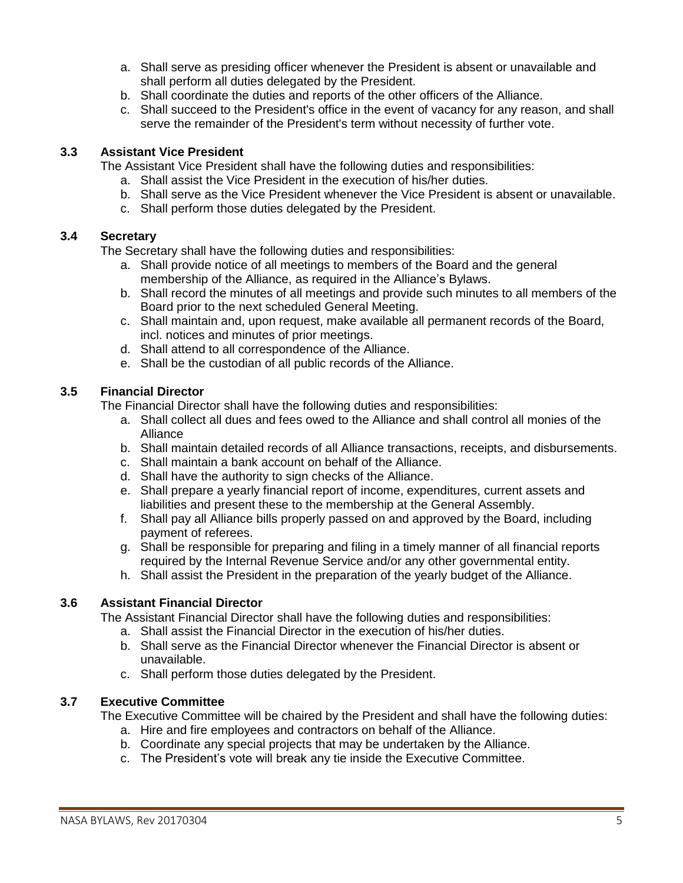- a. Shall serve as presiding officer whenever the President is absent or unavailable and shall perform all duties delegated by the President.
- b. Shall coordinate the duties and reports of the other officers of the Alliance.
- c. Shall succeed to the President's office in the event of vacancy for any reason, and shall serve the remainder of the President's term without necessity of further vote.

### **3.3 Assistant Vice President**

The Assistant Vice President shall have the following duties and responsibilities:

- a. Shall assist the Vice President in the execution of his/her duties.
- b. Shall serve as the Vice President whenever the Vice President is absent or unavailable.
- c. Shall perform those duties delegated by the President.

#### **3.4 Secretary**

The Secretary shall have the following duties and responsibilities:

- a. Shall provide notice of all meetings to members of the Board and the general membership of the Alliance, as required in the Alliance's Bylaws.
- b. Shall record the minutes of all meetings and provide such minutes to all members of the Board prior to the next scheduled General Meeting.
- c. Shall maintain and, upon request, make available all permanent records of the Board, incl. notices and minutes of prior meetings.
- d. Shall attend to all correspondence of the Alliance.
- e. Shall be the custodian of all public records of the Alliance.

#### **3.5 Financial Director**

The Financial Director shall have the following duties and responsibilities:

- a. Shall collect all dues and fees owed to the Alliance and shall control all monies of the Alliance
- b. Shall maintain detailed records of all Alliance transactions, receipts, and disbursements.
- c. Shall maintain a bank account on behalf of the Alliance.
- d. Shall have the authority to sign checks of the Alliance.
- e. Shall prepare a yearly financial report of income, expenditures, current assets and liabilities and present these to the membership at the General Assembly.
- f. Shall pay all Alliance bills properly passed on and approved by the Board, including payment of referees.
- g. Shall be responsible for preparing and filing in a timely manner of all financial reports required by the Internal Revenue Service and/or any other governmental entity.
- h. Shall assist the President in the preparation of the yearly budget of the Alliance.

#### **3.6 Assistant Financial Director**

The Assistant Financial Director shall have the following duties and responsibilities:

- a. Shall assist the Financial Director in the execution of his/her duties.
- b. Shall serve as the Financial Director whenever the Financial Director is absent or unavailable.
- c. Shall perform those duties delegated by the President.

#### **3.7 Executive Committee**

The Executive Committee will be chaired by the President and shall have the following duties:

- a. Hire and fire employees and contractors on behalf of the Alliance. b. Coordinate any special projects that may be undertaken by the Alliance.
- c. The President's vote will break any tie inside the Executive Committee.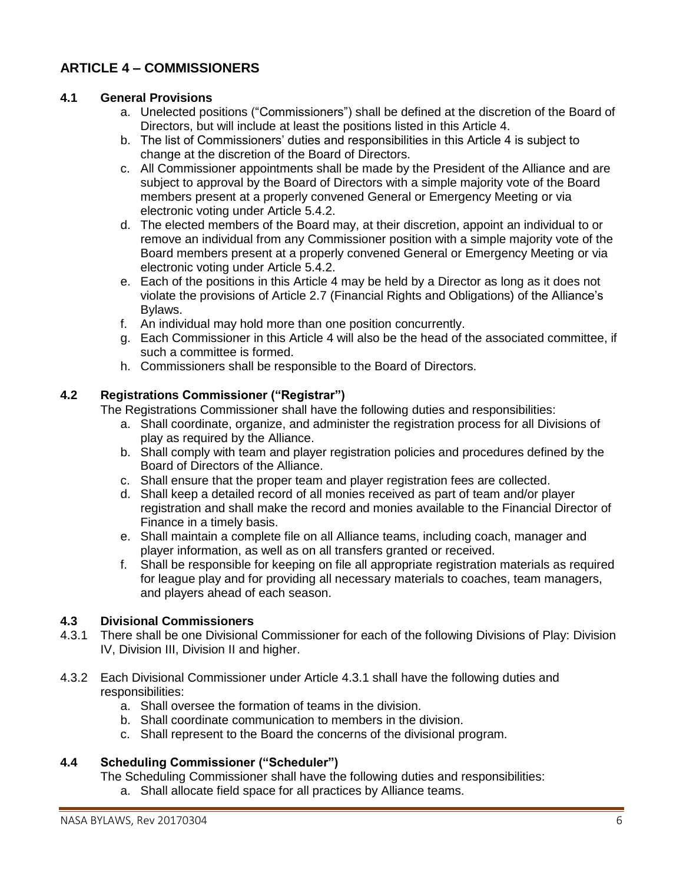## **ARTICLE 4 – COMMISSIONERS**

### **4.1 General Provisions**

- a. Unelected positions ("Commissioners") shall be defined at the discretion of the Board of Directors, but will include at least the positions listed in this Article 4.
- b. The list of Commissioners' duties and responsibilities in this Article 4 is subject to change at the discretion of the Board of Directors.
- c. All Commissioner appointments shall be made by the President of the Alliance and are subject to approval by the Board of Directors with a simple majority vote of the Board members present at a properly convened General or Emergency Meeting or via electronic voting under Article 5.4.2.
- d. The elected members of the Board may, at their discretion, appoint an individual to or remove an individual from any Commissioner position with a simple majority vote of the Board members present at a properly convened General or Emergency Meeting or via electronic voting under Article 5.4.2.
- e. Each of the positions in this Article 4 may be held by a Director as long as it does not violate the provisions of Article 2.7 (Financial Rights and Obligations) of the Alliance's Bylaws.
- f. An individual may hold more than one position concurrently.
- g. Each Commissioner in this Article 4 will also be the head of the associated committee, if such a committee is formed.
- h. Commissioners shall be responsible to the Board of Directors.

### **4.2 Registrations Commissioner ("Registrar")**

The Registrations Commissioner shall have the following duties and responsibilities:

- a. Shall coordinate, organize, and administer the registration process for all Divisions of play as required by the Alliance.
- b. Shall comply with team and player registration policies and procedures defined by the Board of Directors of the Alliance.
- c. Shall ensure that the proper team and player registration fees are collected.
- d. Shall keep a detailed record of all monies received as part of team and/or player registration and shall make the record and monies available to the Financial Director of Finance in a timely basis.
- e. Shall maintain a complete file on all Alliance teams, including coach, manager and player information, as well as on all transfers granted or received.
- f. Shall be responsible for keeping on file all appropriate registration materials as required for league play and for providing all necessary materials to coaches, team managers, and players ahead of each season.

### **4.3 Divisional Commissioners**

- 4.3.1 There shall be one Divisional Commissioner for each of the following Divisions of Play: Division IV, Division III, Division II and higher.
- 4.3.2 Each Divisional Commissioner under Article 4.3.1 shall have the following duties and responsibilities:
	- a. Shall oversee the formation of teams in the division.
	- b. Shall coordinate communication to members in the division.
	- c. Shall represent to the Board the concerns of the divisional program.

### **4.4 Scheduling Commissioner ("Scheduler")**

The Scheduling Commissioner shall have the following duties and responsibilities:

a. Shall allocate field space for all practices by Alliance teams.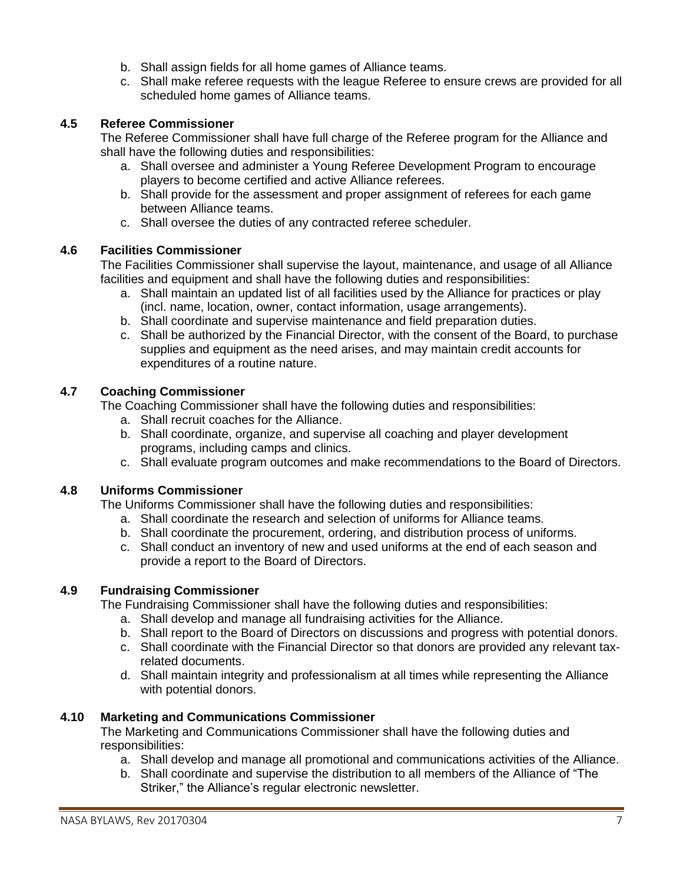- b. Shall assign fields for all home games of Alliance teams.
- c. Shall make referee requests with the league Referee to ensure crews are provided for all scheduled home games of Alliance teams.

### **4.5 Referee Commissioner**

The Referee Commissioner shall have full charge of the Referee program for the Alliance and shall have the following duties and responsibilities:

- a. Shall oversee and administer a Young Referee Development Program to encourage players to become certified and active Alliance referees.
- b. Shall provide for the assessment and proper assignment of referees for each game between Alliance teams.
- c. Shall oversee the duties of any contracted referee scheduler.

#### **4.6 Facilities Commissioner**

The Facilities Commissioner shall supervise the layout, maintenance, and usage of all Alliance facilities and equipment and shall have the following duties and responsibilities:

- a. Shall maintain an updated list of all facilities used by the Alliance for practices or play (incl. name, location, owner, contact information, usage arrangements).
- b. Shall coordinate and supervise maintenance and field preparation duties.
- c. Shall be authorized by the Financial Director, with the consent of the Board, to purchase supplies and equipment as the need arises, and may maintain credit accounts for expenditures of a routine nature.

#### **4.7 Coaching Commissioner**

The Coaching Commissioner shall have the following duties and responsibilities:

- a. Shall recruit coaches for the Alliance.
- b. Shall coordinate, organize, and supervise all coaching and player development programs, including camps and clinics.
- c. Shall evaluate program outcomes and make recommendations to the Board of Directors.

#### **4.8 Uniforms Commissioner**

The Uniforms Commissioner shall have the following duties and responsibilities:

- a. Shall coordinate the research and selection of uniforms for Alliance teams.
- b. Shall coordinate the procurement, ordering, and distribution process of uniforms.
- c. Shall conduct an inventory of new and used uniforms at the end of each season and provide a report to the Board of Directors.

#### **4.9 Fundraising Commissioner**

The Fundraising Commissioner shall have the following duties and responsibilities:

- a. Shall develop and manage all fundraising activities for the Alliance.
- b. Shall report to the Board of Directors on discussions and progress with potential donors.
- c. Shall coordinate with the Financial Director so that donors are provided any relevant taxrelated documents.
- d. Shall maintain integrity and professionalism at all times while representing the Alliance with potential donors.

#### **4.10 Marketing and Communications Commissioner**

The Marketing and Communications Commissioner shall have the following duties and responsibilities:

- a. Shall develop and manage all promotional and communications activities of the Alliance.
- b. Shall coordinate and supervise the distribution to all members of the Alliance of "The Striker," the Alliance's regular electronic newsletter.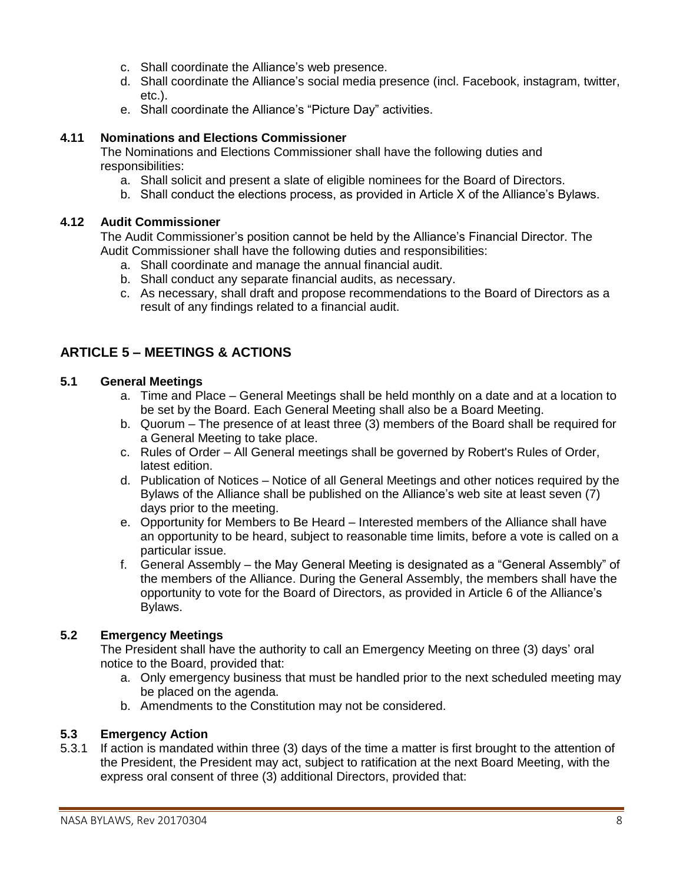- c. Shall coordinate the Alliance's web presence.
- d. Shall coordinate the Alliance's social media presence (incl. Facebook, instagram, twitter, etc.).
- e. Shall coordinate the Alliance's "Picture Day" activities.

### **4.11 Nominations and Elections Commissioner**

The Nominations and Elections Commissioner shall have the following duties and responsibilities:

- a. Shall solicit and present a slate of eligible nominees for the Board of Directors.
- b. Shall conduct the elections process, as provided in Article X of the Alliance's Bylaws.

### **4.12 Audit Commissioner**

The Audit Commissioner's position cannot be held by the Alliance's Financial Director. The Audit Commissioner shall have the following duties and responsibilities:

- a. Shall coordinate and manage the annual financial audit.
- b. Shall conduct any separate financial audits, as necessary.
- c. As necessary, shall draft and propose recommendations to the Board of Directors as a result of any findings related to a financial audit.

## **ARTICLE 5 – MEETINGS & ACTIONS**

### **5.1 General Meetings**

- a. Time and Place General Meetings shall be held monthly on a date and at a location to be set by the Board. Each General Meeting shall also be a Board Meeting.
- b. Quorum The presence of at least three (3) members of the Board shall be required for a General Meeting to take place.
- c. Rules of Order All General meetings shall be governed by Robert's Rules of Order, latest edition.
- d. Publication of Notices Notice of all General Meetings and other notices required by the Bylaws of the Alliance shall be published on the Alliance's web site at least seven (7) days prior to the meeting.
- e. Opportunity for Members to Be Heard Interested members of the Alliance shall have an opportunity to be heard, subject to reasonable time limits, before a vote is called on a particular issue.
- f. General Assembly the May General Meeting is designated as a "General Assembly" of the members of the Alliance. During the General Assembly, the members shall have the opportunity to vote for the Board of Directors, as provided in Article 6 of the Alliance's Bylaws.

### **5.2 Emergency Meetings**

The President shall have the authority to call an Emergency Meeting on three (3) days' oral notice to the Board, provided that:

- a. Only emergency business that must be handled prior to the next scheduled meeting may be placed on the agenda.
- b. Amendments to the Constitution may not be considered.

#### **5.3 Emergency Action**

5.3.1 If action is mandated within three (3) days of the time a matter is first brought to the attention of the President, the President may act, subject to ratification at the next Board Meeting, with the express oral consent of three (3) additional Directors, provided that: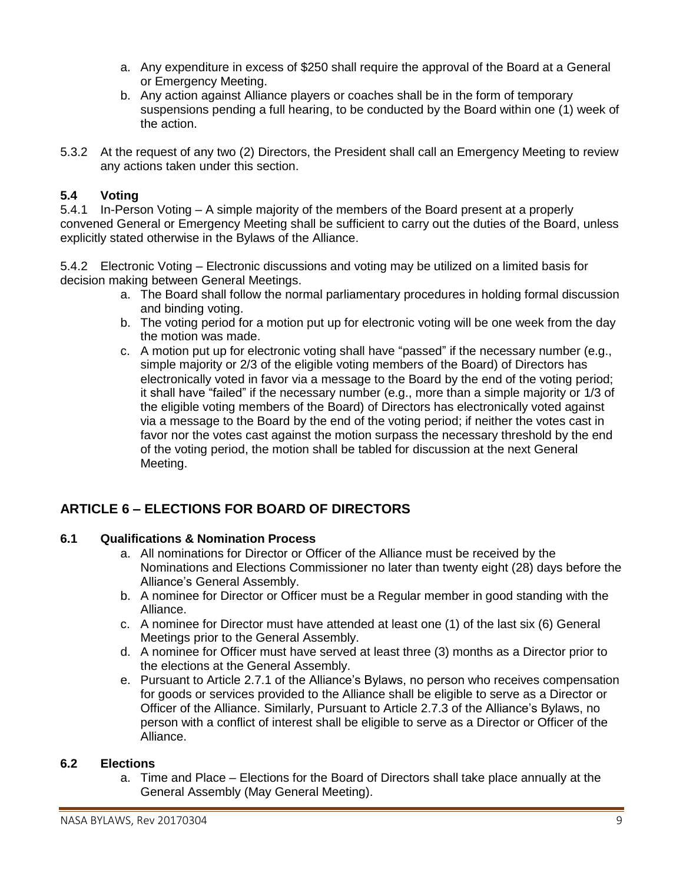- a. Any expenditure in excess of \$250 shall require the approval of the Board at a General or Emergency Meeting.
- b. Any action against Alliance players or coaches shall be in the form of temporary suspensions pending a full hearing, to be conducted by the Board within one (1) week of the action.
- 5.3.2 At the request of any two (2) Directors, the President shall call an Emergency Meeting to review any actions taken under this section.

### **5.4 Voting**

5.4.1 In-Person Voting – A simple majority of the members of the Board present at a properly convened General or Emergency Meeting shall be sufficient to carry out the duties of the Board, unless explicitly stated otherwise in the Bylaws of the Alliance.

5.4.2 Electronic Voting – Electronic discussions and voting may be utilized on a limited basis for decision making between General Meetings.

- a. The Board shall follow the normal parliamentary procedures in holding formal discussion and binding voting.
- b. The voting period for a motion put up for electronic voting will be one week from the day the motion was made.
- c. A motion put up for electronic voting shall have "passed" if the necessary number (e.g., simple majority or 2/3 of the eligible voting members of the Board) of Directors has electronically voted in favor via a message to the Board by the end of the voting period; it shall have "failed" if the necessary number (e.g., more than a simple majority or 1/3 of the eligible voting members of the Board) of Directors has electronically voted against via a message to the Board by the end of the voting period; if neither the votes cast in favor nor the votes cast against the motion surpass the necessary threshold by the end of the voting period, the motion shall be tabled for discussion at the next General Meeting.

## **ARTICLE 6 – ELECTIONS FOR BOARD OF DIRECTORS**

### **6.1 Qualifications & Nomination Process**

- a. All nominations for Director or Officer of the Alliance must be received by the Nominations and Elections Commissioner no later than twenty eight (28) days before the Alliance's General Assembly.
- b. A nominee for Director or Officer must be a Regular member in good standing with the Alliance.
- c. A nominee for Director must have attended at least one (1) of the last six (6) General Meetings prior to the General Assembly.
- d. A nominee for Officer must have served at least three (3) months as a Director prior to the elections at the General Assembly.
- e. Pursuant to Article 2.7.1 of the Alliance's Bylaws, no person who receives compensation for goods or services provided to the Alliance shall be eligible to serve as a Director or Officer of the Alliance. Similarly, Pursuant to Article 2.7.3 of the Alliance's Bylaws, no person with a conflict of interest shall be eligible to serve as a Director or Officer of the Alliance.

### **6.2 Elections**

a. Time and Place – Elections for the Board of Directors shall take place annually at the General Assembly (May General Meeting).